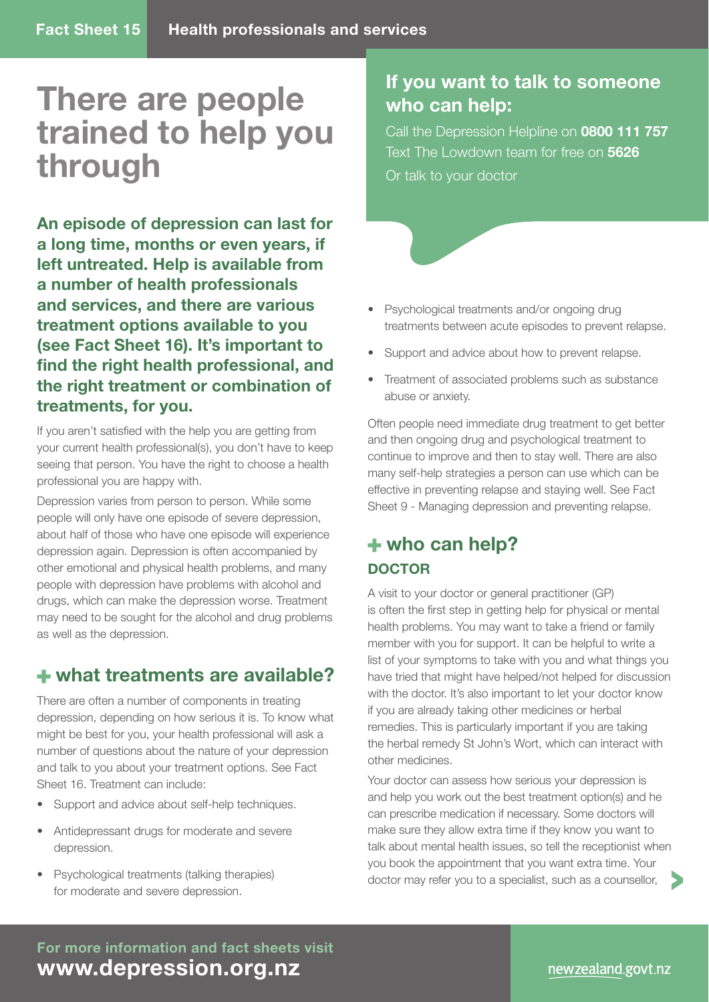# **There are people trained to help you through**

**An episode of depression can last for a long time, months or even years, if left untreated. Help is available from a number of health professionals and services, and there are various treatment options available to you (see Fact Sheet 16). It's important to**  find the right health professional, and **the right treatment or combination of treatments, for you.**

If you aren't satisfied with the help you are getting from your current health professional(s), you don't have to keep seeing that person. You have the right to choose a health professional you are happy with.

Depression varies from person to person. While some people will only have one episode of severe depression, about half of those who have one episode will experience depression again. Depression is often accompanied by other emotional and physical health problems, and many people with depression have problems with alcohol and drugs, which can make the depression worse. Treatment may need to be sought for the alcohol and drug problems as well as the depression.

## **what treatments are available?**

There are often a number of components in treating depression, depending on how serious it is. To know what might be best for you, your health professional will ask a number of questions about the nature of your depression and talk to you about your treatment options. See Fact Sheet 16. Treatment can include:

- Support and advice about self-help techniques.
- Antidepressant drugs for moderate and severe depression.
- Psychological treatments (talking therapies) for moderate and severe depression.

## **If you want to talk to someone who can help:**

Call the Depression Helpline on **0800 111 757** Text The Lowdown team for free on **5626** Or talk to your doctor

- Psychological treatments and/or ongoing drug treatments between acute episodes to prevent relapse.
- Support and advice about how to prevent relapse.
- Treatment of associated problems such as substance abuse or anxiety.

Often people need immediate drug treatment to get better and then ongoing drug and psychological treatment to continue to improve and then to stay well. There are also many self-help strategies a person can use which can be effective in preventing relapse and staying well. See Fact Sheet 9 - Managing depression and preventing relapse.

## **who can help? DOCTOR**

A visit to your doctor or general practitioner (GP) is often the first step in getting help for physical or mental health problems. You may want to take a friend or family member with you for support. It can be helpful to write a list of your symptoms to take with you and what things you have tried that might have helped/not helped for discussion with the doctor. It's also important to let your doctor know if you are already taking other medicines or herbal remedies. This is particularly important if you are taking the herbal remedy St John's Wort, which can interact with other medicines.

Your doctor can assess how serious your depression is and help you work out the best treatment option(s) and he can prescribe medication if necessary. Some doctors will make sure they allow extra time if they know you want to talk about mental health issues, so tell the receptionist when you book the appointment that you want extra time. Your doctor may refer you to a specialist, such as a counsellor,

**For more information and fact sheets visit www.depression.org.nz**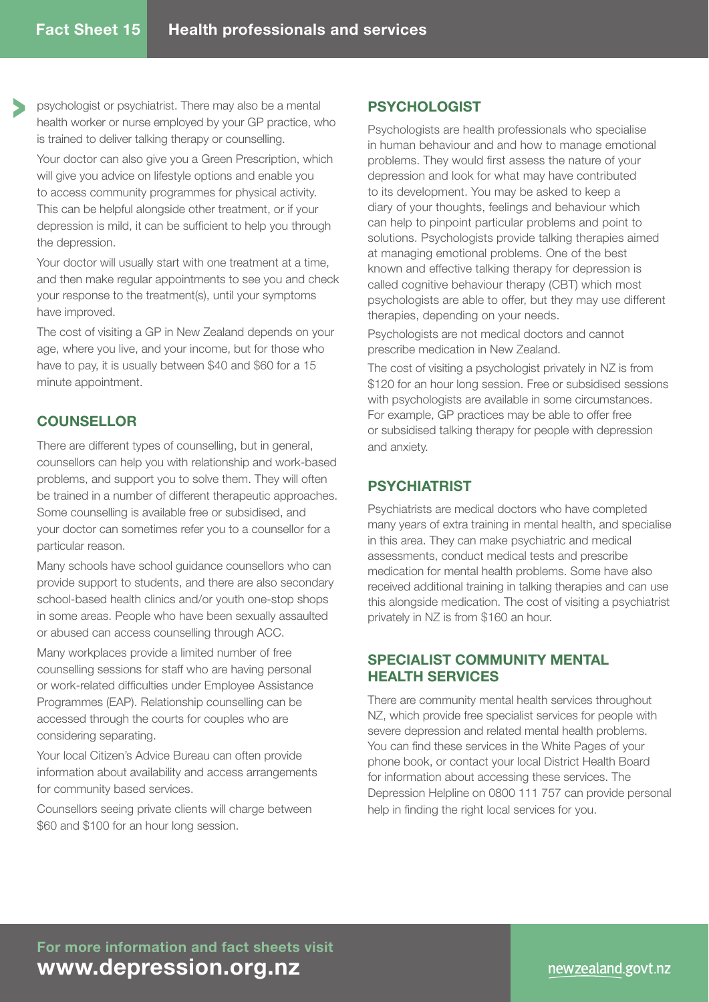psychologist or psychiatrist. There may also be a mental health worker or nurse employed by your GP practice, who is trained to deliver talking therapy or counselling.

Your doctor can also give you a Green Prescription, which will give you advice on lifestyle options and enable you to access community programmes for physical activity. This can be helpful alongside other treatment, or if your depression is mild, it can be sufficient to help you through the depression.

Your doctor will usually start with one treatment at a time, and then make regular appointments to see you and check your response to the treatment(s), until your symptoms have improved.

The cost of visiting a GP in New Zealand depends on your age, where you live, and your income, but for those who have to pay, it is usually between \$40 and \$60 for a 15 minute appointment.

#### **COUNSELLOR**

There are different types of counselling, but in general, counsellors can help you with relationship and work-based problems, and support you to solve them. They will often be trained in a number of different therapeutic approaches. Some counselling is available free or subsidised, and your doctor can sometimes refer you to a counsellor for a particular reason.

Many schools have school guidance counsellors who can provide support to students, and there are also secondary school-based health clinics and/or youth one-stop shops in some areas. People who have been sexually assaulted or abused can access counselling through ACC.

Many workplaces provide a limited number of free counselling sessions for staff who are having personal or work-related difficulties under Employee Assistance Programmes (EAP). Relationship counselling can be accessed through the courts for couples who are considering separating.

Your local Citizen's Advice Bureau can often provide information about availability and access arrangements for community based services.

Counsellors seeing private clients will charge between \$60 and \$100 for an hour long session.

#### **PSYCHOLOGIST**

Psychologists are health professionals who specialise in human behaviour and and how to manage emotional problems. They would first assess the nature of your depression and look for what may have contributed to its development. You may be asked to keep a diary of your thoughts, feelings and behaviour which can help to pinpoint particular problems and point to solutions. Psychologists provide talking therapies aimed at managing emotional problems. One of the best known and effective talking therapy for depression is called cognitive behaviour therapy (CBT) which most psychologists are able to offer, but they may use different therapies, depending on your needs.

Psychologists are not medical doctors and cannot prescribe medication in New Zealand.

The cost of visiting a psychologist privately in NZ is from \$120 for an hour long session. Free or subsidised sessions with psychologists are available in some circumstances. For example, GP practices may be able to offer free or subsidised talking therapy for people with depression and anxiety.

#### **PSYCHIATRIST**

Psychiatrists are medical doctors who have completed many years of extra training in mental health, and specialise in this area. They can make psychiatric and medical assessments, conduct medical tests and prescribe medication for mental health problems. Some have also received additional training in talking therapies and can use this alongside medication. The cost of visiting a psychiatrist privately in NZ is from \$160 an hour.

#### **SPECIALIST COMMUNITY MENTAL HEALTH SERVICES**

There are community mental health services throughout NZ, which provide free specialist services for people with severe depression and related mental health problems. You can find these services in the White Pages of your phone book, or contact your local District Health Board for information about accessing these services. The Depression Helpline on 0800 111 757 can provide personal help in finding the right local services for you.

**For more information and fact sheets visit www.depression.org.nz**